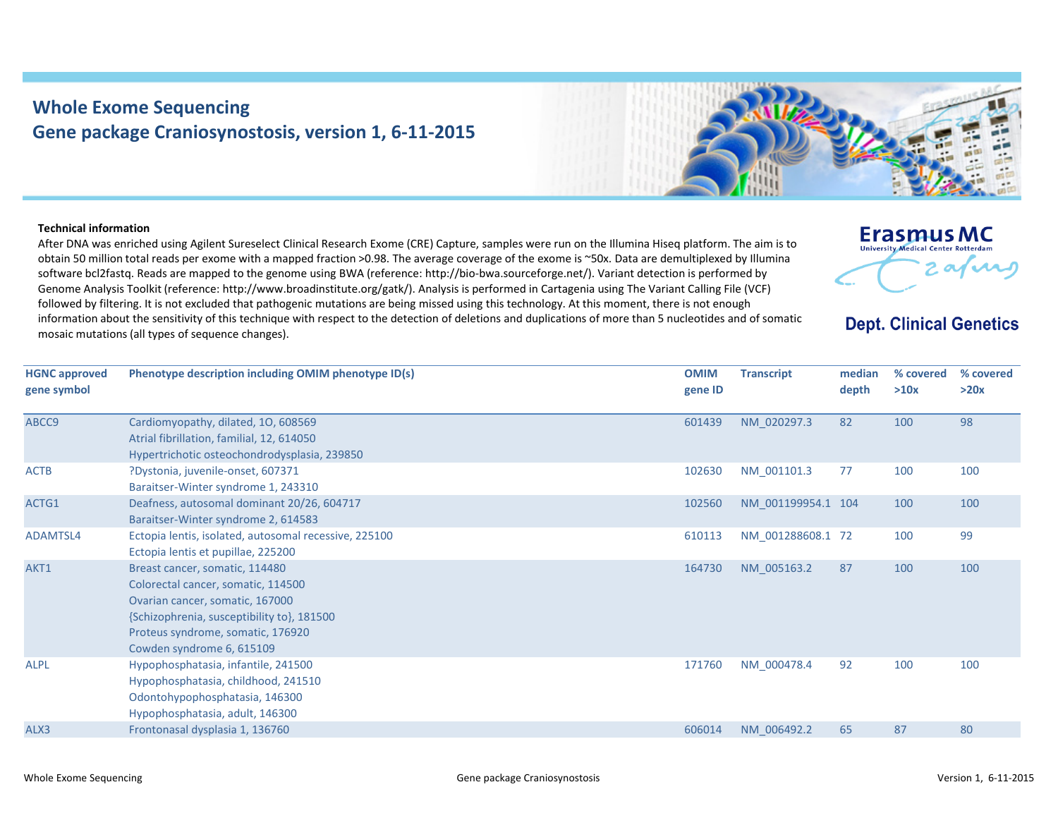## **Whole Exome Sequencing Gene package Craniosynostosis, version 1, 6‐11‐2015**



## **Technical information**

After DNA was enriched using Agilent Sureselect Clinical Research Exome (CRE) Capture, samples were run on the Illumina Hiseq platform. The aim is to obtain 50 million total reads per exome with <sup>a</sup> mapped fraction >0.98. The average coverage of the exome is ~50x. Data are demultiplexed by Illumina software bcl2fastq. Reads are mapped to the genome using BWA (reference: http://bio‐bwa.sourceforge.net/). Variant detection is performed by Genome Analysis Toolkit (reference: http://www.broadinstitute.org/gatk/). Analysis is performed in Cartagenia using The Variant Calling File (VCF) followed by filtering. It is not excluded that pathogenic mutations are being missed using this technology. At this moment, there is not enough information about the sensitivity of this technique with respect to the detection of deletions and duplications of more than 5 nucleotides and of somatic mosaic mutations (all types of sequence changes).



**Dept. Clinical Genetics** 

| <b>HGNC approved</b><br>gene symbol | Phenotype description including OMIM phenotype ID(s)                                                                                                                                                                    | <b>OMIM</b><br>gene ID | <b>Transcript</b>  | median<br>depth | % covered<br>>10x | % covered<br>>20x |
|-------------------------------------|-------------------------------------------------------------------------------------------------------------------------------------------------------------------------------------------------------------------------|------------------------|--------------------|-----------------|-------------------|-------------------|
| ABCC9                               | Cardiomyopathy, dilated, 10, 608569<br>Atrial fibrillation, familial, 12, 614050<br>Hypertrichotic osteochondrodysplasia, 239850                                                                                        | 601439                 | NM 020297.3        | 82              | 100               | 98                |
| <b>ACTB</b>                         | ?Dystonia, juvenile-onset, 607371<br>Baraitser-Winter syndrome 1, 243310                                                                                                                                                | 102630                 | NM_001101.3        | 77              | 100               | 100               |
| ACTG1                               | Deafness, autosomal dominant 20/26, 604717<br>Baraitser-Winter syndrome 2, 614583                                                                                                                                       | 102560                 | NM 001199954.1 104 |                 | 100               | 100               |
| ADAMTSL4                            | Ectopia lentis, isolated, autosomal recessive, 225100<br>Ectopia lentis et pupillae, 225200                                                                                                                             | 610113                 | NM 001288608.1 72  |                 | 100               | 99                |
| AKT1                                | Breast cancer, somatic, 114480<br>Colorectal cancer, somatic, 114500<br>Ovarian cancer, somatic, 167000<br>{Schizophrenia, susceptibility to}, 181500<br>Proteus syndrome, somatic, 176920<br>Cowden syndrome 6, 615109 | 164730                 | NM 005163.2        | 87              | 100               | 100               |
| <b>ALPL</b>                         | Hypophosphatasia, infantile, 241500<br>Hypophosphatasia, childhood, 241510<br>Odontohypophosphatasia, 146300<br>Hypophosphatasia, adult, 146300                                                                         | 171760                 | NM 000478.4        | 92              | 100               | 100               |
| ALX3                                | Frontonasal dysplasia 1, 136760                                                                                                                                                                                         | 606014                 | NM 006492.2        | 65              | 87                | 80                |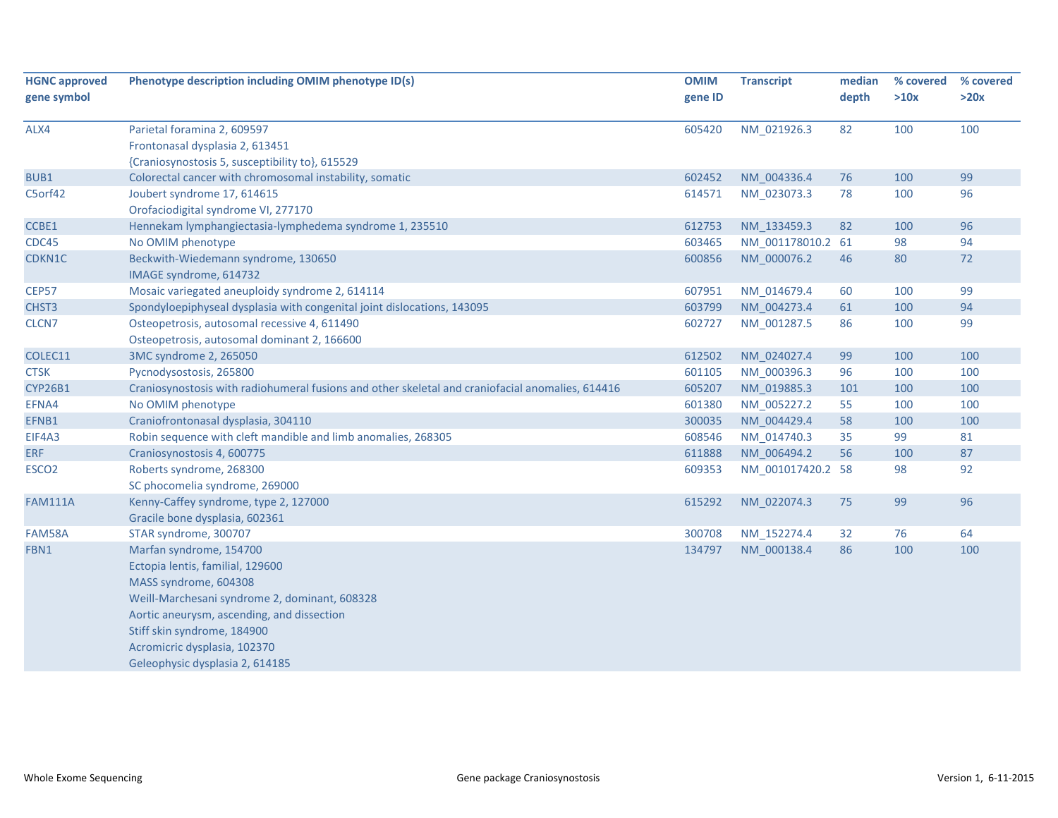| <b>HGNC approved</b> | Phenotype description including OMIM phenotype ID(s)                                             | <b>OMIM</b> | <b>Transcript</b> | median | % covered | % covered |
|----------------------|--------------------------------------------------------------------------------------------------|-------------|-------------------|--------|-----------|-----------|
| gene symbol          |                                                                                                  | gene ID     |                   | depth  | >10x      | >20x      |
| ALX4                 | Parietal foramina 2, 609597                                                                      | 605420      | NM 021926.3       | 82     | 100       | 100       |
|                      | Frontonasal dysplasia 2, 613451                                                                  |             |                   |        |           |           |
|                      | {Craniosynostosis 5, susceptibility to}, 615529                                                  |             |                   |        |           |           |
| BUB1                 | Colorectal cancer with chromosomal instability, somatic                                          | 602452      | NM 004336.4       | 76     | 100       | 99        |
| C5orf42              | Joubert syndrome 17, 614615                                                                      | 614571      | NM 023073.3       | 78     | 100       | 96        |
|                      | Orofaciodigital syndrome VI, 277170                                                              |             |                   |        |           |           |
| CCBE1                | Hennekam lymphangiectasia-lymphedema syndrome 1, 235510                                          | 612753      | NM 133459.3       | 82     | 100       | 96        |
| CDC45                | No OMIM phenotype                                                                                | 603465      | NM_001178010.2 61 |        | 98        | 94        |
| CDKN1C               | Beckwith-Wiedemann syndrome, 130650                                                              | 600856      | NM 000076.2       | 46     | 80        | 72        |
|                      | IMAGE syndrome, 614732                                                                           |             |                   |        |           |           |
| CEP57                | Mosaic variegated aneuploidy syndrome 2, 614114                                                  | 607951      | NM 014679.4       | 60     | 100       | 99        |
| CHST3                | Spondyloepiphyseal dysplasia with congenital joint dislocations, 143095                          | 603799      | NM 004273.4       | 61     | 100       | 94        |
| CLCN7                | Osteopetrosis, autosomal recessive 4, 611490                                                     | 602727      | NM_001287.5       | 86     | 100       | 99        |
|                      | Osteopetrosis, autosomal dominant 2, 166600                                                      |             |                   |        |           |           |
| COLEC11              | 3MC syndrome 2, 265050                                                                           | 612502      | NM 024027.4       | 99     | 100       | 100       |
| <b>CTSK</b>          | Pycnodysostosis, 265800                                                                          | 601105      | NM 000396.3       | 96     | 100       | 100       |
| <b>CYP26B1</b>       | Craniosynostosis with radiohumeral fusions and other skeletal and craniofacial anomalies, 614416 | 605207      | NM 019885.3       | 101    | 100       | 100       |
| EFNA4                | No OMIM phenotype                                                                                | 601380      | NM_005227.2       | 55     | 100       | 100       |
| EFNB1                | Craniofrontonasal dysplasia, 304110                                                              | 300035      | NM 004429.4       | 58     | 100       | 100       |
| EIF4A3               | Robin sequence with cleft mandible and limb anomalies, 268305                                    | 608546      | NM_014740.3       | 35     | 99        | 81        |
| <b>ERF</b>           | Craniosynostosis 4, 600775                                                                       | 611888      | NM 006494.2       | 56     | 100       | 87        |
| ESCO <sub>2</sub>    | Roberts syndrome, 268300                                                                         | 609353      | NM_001017420.2 58 |        | 98        | 92        |
|                      | SC phocomelia syndrome, 269000                                                                   |             |                   |        |           |           |
| <b>FAM111A</b>       | Kenny-Caffey syndrome, type 2, 127000                                                            | 615292      | NM_022074.3       | 75     | 99        | 96        |
|                      | Gracile bone dysplasia, 602361                                                                   |             |                   |        |           |           |
| FAM58A               | STAR syndrome, 300707                                                                            | 300708      | NM_152274.4       | 32     | 76        | 64        |
| FBN1                 | Marfan syndrome, 154700                                                                          | 134797      | NM_000138.4       | 86     | 100       | 100       |
|                      | Ectopia lentis, familial, 129600                                                                 |             |                   |        |           |           |
|                      | MASS syndrome, 604308                                                                            |             |                   |        |           |           |
|                      | Weill-Marchesani syndrome 2, dominant, 608328                                                    |             |                   |        |           |           |
|                      | Aortic aneurysm, ascending, and dissection                                                       |             |                   |        |           |           |
|                      | Stiff skin syndrome, 184900                                                                      |             |                   |        |           |           |
|                      | Acromicric dysplasia, 102370                                                                     |             |                   |        |           |           |
|                      | Geleophysic dysplasia 2, 614185                                                                  |             |                   |        |           |           |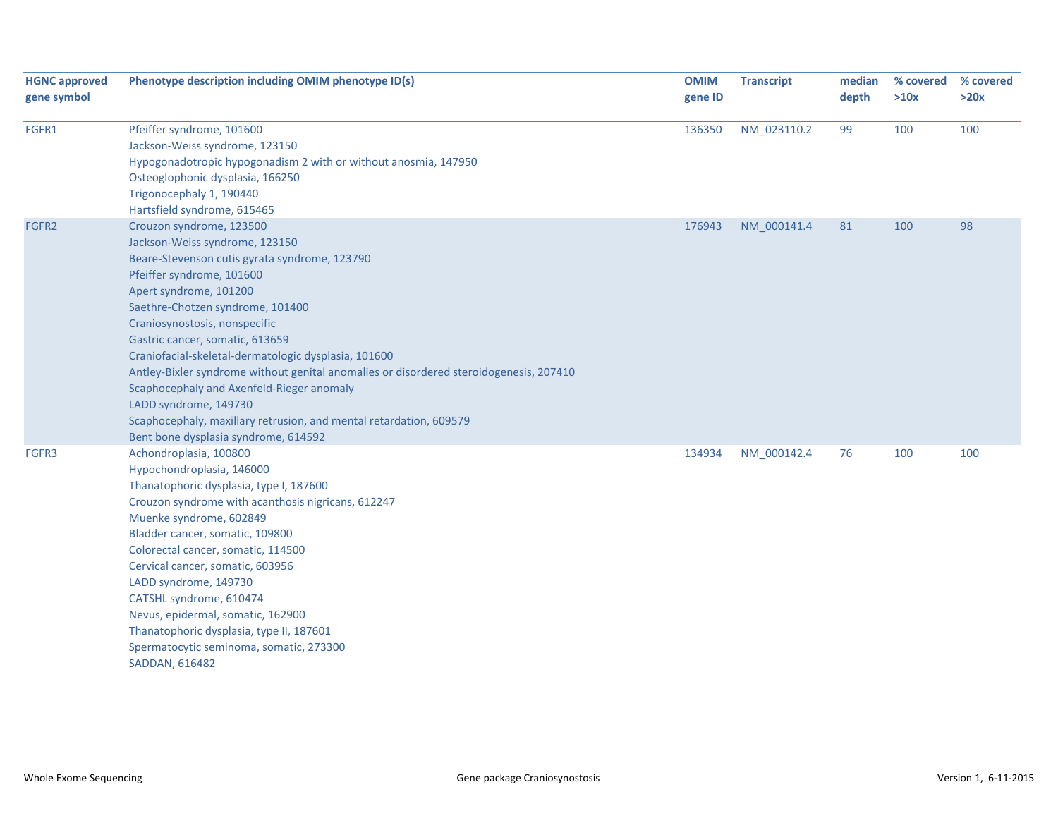| <b>HGNC approved</b><br>gene symbol | Phenotype description including OMIM phenotype ID(s)                                                                                                                                                                                                                                                                                                                                                                                                                                                                                                                                                             | <b>OMIM</b><br>gene ID | <b>Transcript</b> | median<br>depth | % covered<br>>10x | % covered<br>>20x |
|-------------------------------------|------------------------------------------------------------------------------------------------------------------------------------------------------------------------------------------------------------------------------------------------------------------------------------------------------------------------------------------------------------------------------------------------------------------------------------------------------------------------------------------------------------------------------------------------------------------------------------------------------------------|------------------------|-------------------|-----------------|-------------------|-------------------|
| FGFR1                               | Pfeiffer syndrome, 101600<br>Jackson-Weiss syndrome, 123150<br>Hypogonadotropic hypogonadism 2 with or without anosmia, 147950<br>Osteoglophonic dysplasia, 166250<br>Trigonocephaly 1, 190440<br>Hartsfield syndrome, 615465                                                                                                                                                                                                                                                                                                                                                                                    | 136350                 | NM_023110.2       | 99              | 100               | 100               |
| FGFR2                               | Crouzon syndrome, 123500<br>Jackson-Weiss syndrome, 123150<br>Beare-Stevenson cutis gyrata syndrome, 123790<br>Pfeiffer syndrome, 101600<br>Apert syndrome, 101200<br>Saethre-Chotzen syndrome, 101400<br>Craniosynostosis, nonspecific<br>Gastric cancer, somatic, 613659<br>Craniofacial-skeletal-dermatologic dysplasia, 101600<br>Antley-Bixler syndrome without genital anomalies or disordered steroidogenesis, 207410<br>Scaphocephaly and Axenfeld-Rieger anomaly<br>LADD syndrome, 149730<br>Scaphocephaly, maxillary retrusion, and mental retardation, 609579<br>Bent bone dysplasia syndrome, 614592 | 176943                 | NM_000141.4       | 81              | 100               | 98                |
| FGFR3                               | Achondroplasia, 100800<br>Hypochondroplasia, 146000<br>Thanatophoric dysplasia, type I, 187600<br>Crouzon syndrome with acanthosis nigricans, 612247<br>Muenke syndrome, 602849<br>Bladder cancer, somatic, 109800<br>Colorectal cancer, somatic, 114500<br>Cervical cancer, somatic, 603956<br>LADD syndrome, 149730<br>CATSHL syndrome, 610474<br>Nevus, epidermal, somatic, 162900<br>Thanatophoric dysplasia, type II, 187601<br>Spermatocytic seminoma, somatic, 273300<br>SADDAN, 616482                                                                                                                   | 134934                 | NM_000142.4       | 76              | 100               | 100               |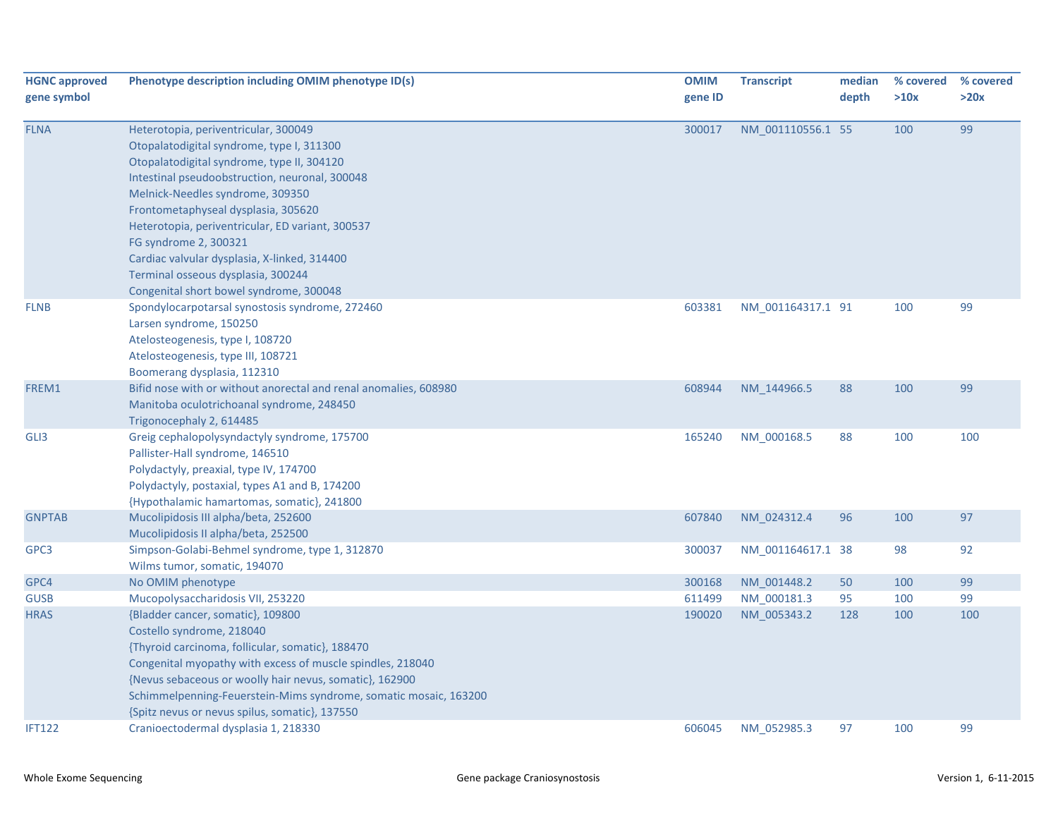| <b>HGNC approved</b> | Phenotype description including OMIM phenotype ID(s)             | <b>OMIM</b> | <b>Transcript</b> | median | % covered | % covered |
|----------------------|------------------------------------------------------------------|-------------|-------------------|--------|-----------|-----------|
| gene symbol          |                                                                  | gene ID     |                   | depth  | >10x      | >20x      |
|                      |                                                                  |             |                   |        |           |           |
| <b>FLNA</b>          | Heterotopia, periventricular, 300049                             | 300017      | NM_001110556.1 55 |        | 100       | 99        |
|                      | Otopalatodigital syndrome, type I, 311300                        |             |                   |        |           |           |
|                      | Otopalatodigital syndrome, type II, 304120                       |             |                   |        |           |           |
|                      | Intestinal pseudoobstruction, neuronal, 300048                   |             |                   |        |           |           |
|                      | Melnick-Needles syndrome, 309350                                 |             |                   |        |           |           |
|                      | Frontometaphyseal dysplasia, 305620                              |             |                   |        |           |           |
|                      | Heterotopia, periventricular, ED variant, 300537                 |             |                   |        |           |           |
|                      | FG syndrome 2, 300321                                            |             |                   |        |           |           |
|                      | Cardiac valvular dysplasia, X-linked, 314400                     |             |                   |        |           |           |
|                      | Terminal osseous dysplasia, 300244                               |             |                   |        |           |           |
|                      | Congenital short bowel syndrome, 300048                          |             |                   |        |           |           |
| <b>FLNB</b>          | Spondylocarpotarsal synostosis syndrome, 272460                  | 603381      | NM_001164317.1 91 |        | 100       | 99        |
|                      | Larsen syndrome, 150250                                          |             |                   |        |           |           |
|                      | Atelosteogenesis, type I, 108720                                 |             |                   |        |           |           |
|                      | Atelosteogenesis, type III, 108721                               |             |                   |        |           |           |
|                      | Boomerang dysplasia, 112310                                      |             |                   |        |           |           |
| FREM1                | Bifid nose with or without anorectal and renal anomalies, 608980 | 608944      | NM 144966.5       | 88     | 100       | 99        |
|                      | Manitoba oculotrichoanal syndrome, 248450                        |             |                   |        |           |           |
|                      | Trigonocephaly 2, 614485                                         |             |                   |        |           |           |
| GLI3                 | Greig cephalopolysyndactyly syndrome, 175700                     | 165240      | NM_000168.5       | 88     | 100       | 100       |
|                      | Pallister-Hall syndrome, 146510                                  |             |                   |        |           |           |
|                      | Polydactyly, preaxial, type IV, 174700                           |             |                   |        |           |           |
|                      | Polydactyly, postaxial, types A1 and B, 174200                   |             |                   |        |           |           |
|                      | {Hypothalamic hamartomas, somatic}, 241800                       |             |                   |        |           |           |
| <b>GNPTAB</b>        | Mucolipidosis III alpha/beta, 252600                             | 607840      | NM 024312.4       | 96     | 100       | 97        |
|                      | Mucolipidosis II alpha/beta, 252500                              |             |                   |        |           |           |
| GPC3                 | Simpson-Golabi-Behmel syndrome, type 1, 312870                   | 300037      | NM 001164617.1 38 |        | 98        | 92        |
|                      | Wilms tumor, somatic, 194070                                     |             |                   |        |           |           |
| GPC4                 | No OMIM phenotype                                                | 300168      | NM 001448.2       | 50     | 100       | 99        |
| <b>GUSB</b>          | Mucopolysaccharidosis VII, 253220                                | 611499      | NM 000181.3       | 95     | 100       | 99        |
| <b>HRAS</b>          | {Bladder cancer, somatic}, 109800                                | 190020      | NM_005343.2       | 128    | 100       | 100       |
|                      | Costello syndrome, 218040                                        |             |                   |        |           |           |
|                      | {Thyroid carcinoma, follicular, somatic}, 188470                 |             |                   |        |           |           |
|                      | Congenital myopathy with excess of muscle spindles, 218040       |             |                   |        |           |           |
|                      | {Nevus sebaceous or woolly hair nevus, somatic}, 162900          |             |                   |        |           |           |
|                      | Schimmelpenning-Feuerstein-Mims syndrome, somatic mosaic, 163200 |             |                   |        |           |           |
|                      | {Spitz nevus or nevus spilus, somatic}, 137550                   |             |                   |        |           |           |
| <b>IFT122</b>        | Cranioectodermal dysplasia 1, 218330                             | 606045      | NM 052985.3       | 97     | 100       | 99        |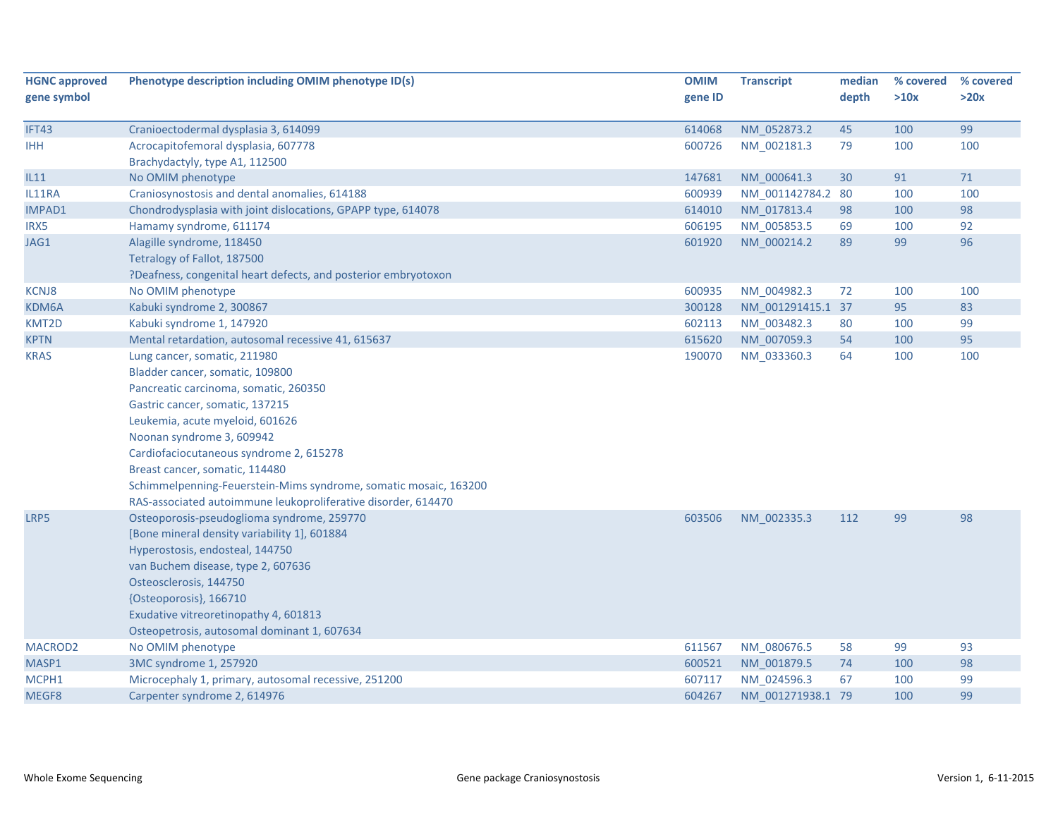| <b>HGNC approved</b> | Phenotype description including OMIM phenotype ID(s)             | <b>OMIM</b> | <b>Transcript</b> | median | % covered | % covered |
|----------------------|------------------------------------------------------------------|-------------|-------------------|--------|-----------|-----------|
| gene symbol          |                                                                  | gene ID     |                   | depth  | >10x      | >20x      |
| IFT43                | Cranioectodermal dysplasia 3, 614099                             | 614068      | NM_052873.2       | 45     | 100       | 99        |
| <b>IHH</b>           | Acrocapitofemoral dysplasia, 607778                              | 600726      | NM 002181.3       | 79     | 100       | 100       |
|                      | Brachydactyly, type A1, 112500                                   |             |                   |        |           |           |
| IL11                 | No OMIM phenotype                                                | 147681      | NM 000641.3       | 30     | 91        | 71        |
| IL11RA               | Craniosynostosis and dental anomalies, 614188                    | 600939      | NM 001142784.2 80 |        | 100       | 100       |
| IMPAD1               | Chondrodysplasia with joint dislocations, GPAPP type, 614078     | 614010      | NM_017813.4       | 98     | 100       | 98        |
| IRX5                 | Hamamy syndrome, 611174                                          | 606195      | NM 005853.5       | 69     | 100       | 92        |
| JAG1                 | Alagille syndrome, 118450                                        | 601920      | NM_000214.2       | 89     | 99        | 96        |
|                      | Tetralogy of Fallot, 187500                                      |             |                   |        |           |           |
|                      | ?Deafness, congenital heart defects, and posterior embryotoxon   |             |                   |        |           |           |
| <b>KCNJ8</b>         | No OMIM phenotype                                                | 600935      | NM_004982.3       | 72     | 100       | 100       |
| KDM6A                | Kabuki syndrome 2, 300867                                        | 300128      | NM_001291415.1 37 |        | 95        | 83        |
| KMT2D                | Kabuki syndrome 1, 147920                                        | 602113      | NM_003482.3       | 80     | 100       | 99        |
| <b>KPTN</b>          | Mental retardation, autosomal recessive 41, 615637               | 615620      | NM_007059.3       | 54     | 100       | 95        |
| <b>KRAS</b>          | Lung cancer, somatic, 211980                                     | 190070      | NM 033360.3       | 64     | 100       | 100       |
|                      | Bladder cancer, somatic, 109800                                  |             |                   |        |           |           |
|                      | Pancreatic carcinoma, somatic, 260350                            |             |                   |        |           |           |
|                      | Gastric cancer, somatic, 137215                                  |             |                   |        |           |           |
|                      | Leukemia, acute myeloid, 601626                                  |             |                   |        |           |           |
|                      | Noonan syndrome 3, 609942                                        |             |                   |        |           |           |
|                      | Cardiofaciocutaneous syndrome 2, 615278                          |             |                   |        |           |           |
|                      | Breast cancer, somatic, 114480                                   |             |                   |        |           |           |
|                      | Schimmelpenning-Feuerstein-Mims syndrome, somatic mosaic, 163200 |             |                   |        |           |           |
|                      | RAS-associated autoimmune leukoproliferative disorder, 614470    |             |                   |        |           |           |
| LRP5                 | Osteoporosis-pseudoglioma syndrome, 259770                       | 603506      | NM 002335.3       | 112    | 99        | 98        |
|                      | [Bone mineral density variability 1], 601884                     |             |                   |        |           |           |
|                      | Hyperostosis, endosteal, 144750                                  |             |                   |        |           |           |
|                      | van Buchem disease, type 2, 607636                               |             |                   |        |           |           |
|                      | Osteosclerosis, 144750                                           |             |                   |        |           |           |
|                      | {Osteoporosis}, 166710                                           |             |                   |        |           |           |
|                      | Exudative vitreoretinopathy 4, 601813                            |             |                   |        |           |           |
|                      | Osteopetrosis, autosomal dominant 1, 607634                      |             |                   |        |           |           |
| MACROD <sub>2</sub>  | No OMIM phenotype                                                | 611567      | NM 080676.5       | 58     | 99        | 93        |
| MASP1                | 3MC syndrome 1, 257920                                           | 600521      | NM 001879.5       | 74     | 100       | 98        |
| MCPH1                | Microcephaly 1, primary, autosomal recessive, 251200             | 607117      | NM 024596.3       | 67     | 100       | 99        |
| MEGF8                | Carpenter syndrome 2, 614976                                     | 604267      | NM 001271938.1 79 |        | 100       | 99        |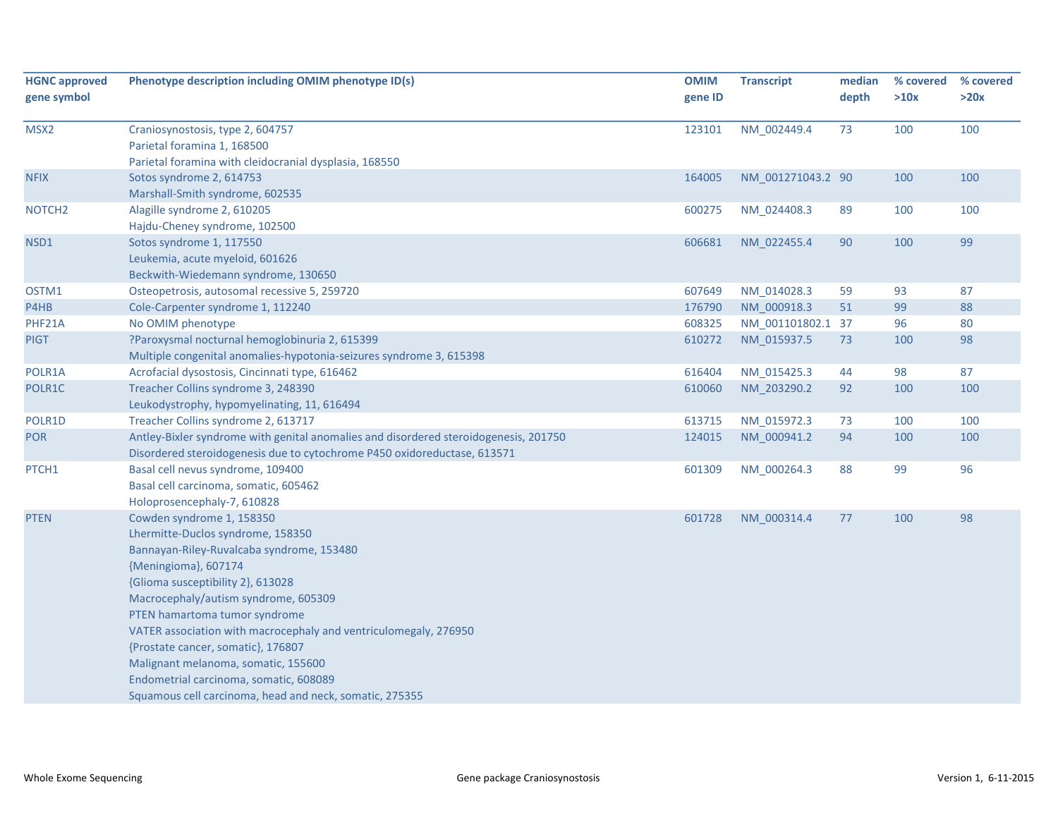| <b>HGNC approved</b> | Phenotype description including OMIM phenotype ID(s)                                 | <b>OMIM</b> | <b>Transcript</b> | median | % covered | % covered |
|----------------------|--------------------------------------------------------------------------------------|-------------|-------------------|--------|-----------|-----------|
| gene symbol          |                                                                                      | gene ID     |                   | depth  | >10x      | >20x      |
| MSX2                 | Craniosynostosis, type 2, 604757                                                     | 123101      | NM 002449.4       | 73     | 100       | 100       |
|                      | Parietal foramina 1, 168500                                                          |             |                   |        |           |           |
|                      | Parietal foramina with cleidocranial dysplasia, 168550                               |             |                   |        |           |           |
| <b>NFIX</b>          | Sotos syndrome 2, 614753                                                             | 164005      | NM_001271043.2 90 |        | 100       | 100       |
|                      | Marshall-Smith syndrome, 602535                                                      |             |                   |        |           |           |
| NOTCH <sub>2</sub>   | Alagille syndrome 2, 610205                                                          | 600275      | NM_024408.3       | 89     | 100       | 100       |
|                      | Hajdu-Cheney syndrome, 102500                                                        |             |                   |        |           |           |
| NSD1                 | Sotos syndrome 1, 117550                                                             | 606681      | NM 022455.4       | 90     | 100       | 99        |
|                      | Leukemia, acute myeloid, 601626                                                      |             |                   |        |           |           |
|                      | Beckwith-Wiedemann syndrome, 130650                                                  |             |                   |        |           |           |
| OSTM1                | Osteopetrosis, autosomal recessive 5, 259720                                         | 607649      | NM_014028.3       | 59     | 93        | 87        |
| P4HB                 | Cole-Carpenter syndrome 1, 112240                                                    | 176790      | NM 000918.3       | 51     | 99        | 88        |
| PHF21A               | No OMIM phenotype                                                                    | 608325      | NM_001101802.1 37 |        | 96        | 80        |
| <b>PIGT</b>          | ?Paroxysmal nocturnal hemoglobinuria 2, 615399                                       | 610272      | NM_015937.5       | 73     | 100       | 98        |
|                      | Multiple congenital anomalies-hypotonia-seizures syndrome 3, 615398                  |             |                   |        |           |           |
| POLR1A               | Acrofacial dysostosis, Cincinnati type, 616462                                       | 616404      | NM 015425.3       | 44     | 98        | 87        |
| POLR1C               | Treacher Collins syndrome 3, 248390                                                  | 610060      | NM_203290.2       | 92     | 100       | 100       |
|                      | Leukodystrophy, hypomyelinating, 11, 616494                                          |             |                   |        |           |           |
| POLR1D               | Treacher Collins syndrome 2, 613717                                                  | 613715      | NM_015972.3       | 73     | 100       | 100       |
| <b>POR</b>           | Antley-Bixler syndrome with genital anomalies and disordered steroidogenesis, 201750 | 124015      | NM_000941.2       | 94     | 100       | 100       |
|                      | Disordered steroidogenesis due to cytochrome P450 oxidoreductase, 613571             |             |                   |        |           |           |
| PTCH1                | Basal cell nevus syndrome, 109400                                                    | 601309      | NM_000264.3       | 88     | 99        | 96        |
|                      | Basal cell carcinoma, somatic, 605462                                                |             |                   |        |           |           |
|                      | Holoprosencephaly-7, 610828                                                          |             |                   |        |           |           |
| <b>PTEN</b>          | Cowden syndrome 1, 158350                                                            | 601728      | NM 000314.4       | 77     | 100       | 98        |
|                      | Lhermitte-Duclos syndrome, 158350                                                    |             |                   |        |           |           |
|                      | Bannayan-Riley-Ruvalcaba syndrome, 153480                                            |             |                   |        |           |           |
|                      | {Meningioma}, 607174                                                                 |             |                   |        |           |           |
|                      | {Glioma susceptibility 2}, 613028                                                    |             |                   |        |           |           |
|                      | Macrocephaly/autism syndrome, 605309                                                 |             |                   |        |           |           |
|                      | PTEN hamartoma tumor syndrome                                                        |             |                   |        |           |           |
|                      | VATER association with macrocephaly and ventriculomegaly, 276950                     |             |                   |        |           |           |
|                      | {Prostate cancer, somatic}, 176807                                                   |             |                   |        |           |           |
|                      | Malignant melanoma, somatic, 155600                                                  |             |                   |        |           |           |
|                      | Endometrial carcinoma, somatic, 608089                                               |             |                   |        |           |           |
|                      | Squamous cell carcinoma, head and neck, somatic, 275355                              |             |                   |        |           |           |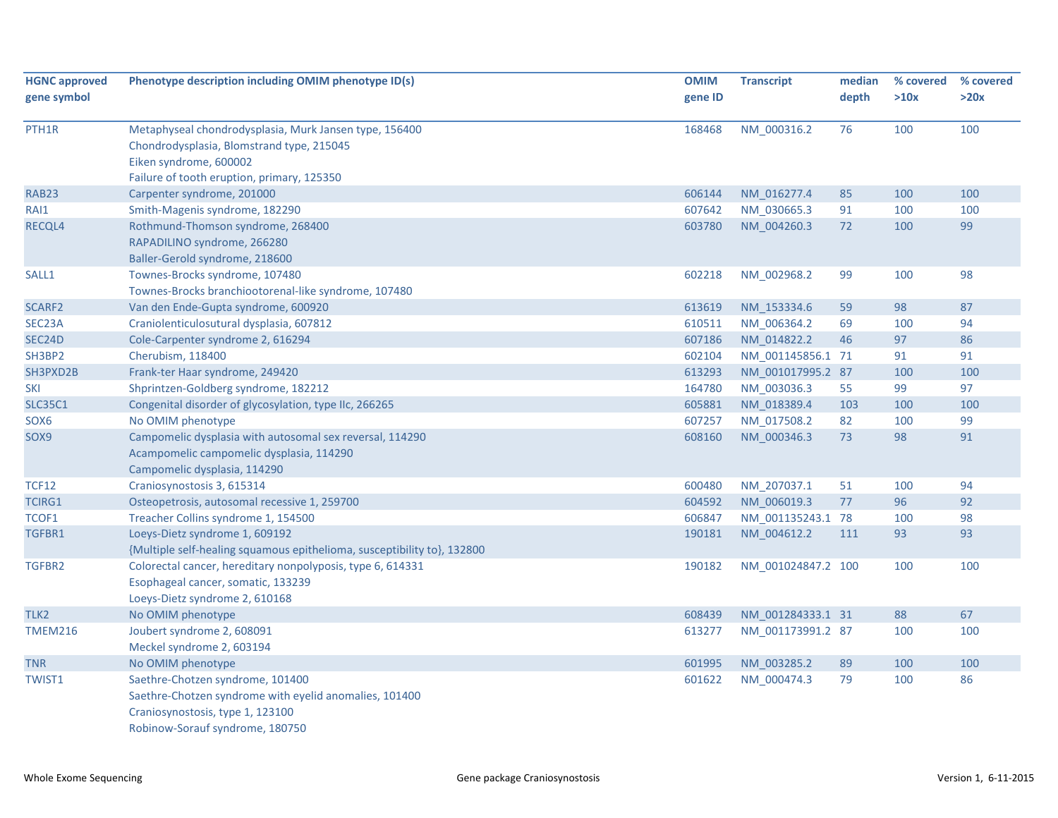| gene symbol<br>gene ID<br>depth<br>>10x<br>>20x<br>76<br>100<br>100<br>Metaphyseal chondrodysplasia, Murk Jansen type, 156400<br>168468<br>NM_000316.2<br>Chondrodysplasia, Blomstrand type, 215045<br>Eiken syndrome, 600002<br>Failure of tooth eruption, primary, 125350<br><b>RAB23</b><br>Carpenter syndrome, 201000<br>606144<br>NM 016277.4<br>85<br>100<br>100<br>607642<br>RAI1<br>Smith-Magenis syndrome, 182290<br>NM_030665.3<br>91<br>100<br>100<br>99<br>Rothmund-Thomson syndrome, 268400<br>603780<br>NM_004260.3<br>72<br>100<br>RAPADILINO syndrome, 266280<br>Baller-Gerold syndrome, 218600<br>99<br>98<br>SALL1<br>Townes-Brocks syndrome, 107480<br>602218<br>NM_002968.2<br>100<br>Townes-Brocks branchiootorenal-like syndrome, 107480<br>87<br>Van den Ende-Gupta syndrome, 600920<br>613619<br>NM 153334.6<br>59<br>98<br>SEC23A<br>Craniolenticulosutural dysplasia, 607812<br>610511<br>NM_006364.2<br>69<br>100<br>94<br>46<br>97<br>86<br>Cole-Carpenter syndrome 2, 616294<br>607186<br>NM_014822.2<br>SH3BP2<br>Cherubism, 118400<br>NM 001145856.1 71<br>91<br>602104<br>91<br>100<br>Frank-ter Haar syndrome, 249420<br>613293<br>NM 001017995.2 87<br>100<br>97<br><b>SKI</b><br>Shprintzen-Goldberg syndrome, 182212<br>164780<br>NM 003036.3<br>55<br>99<br>Congenital disorder of glycosylation, type IIc, 266265<br><b>SLC35C1</b><br>605881<br>NM 018389.4<br>103<br>100<br>100<br>607257<br>NM_017508.2<br>82<br>100<br>99<br>SOX <sub>6</sub><br>No OMIM phenotype<br>73<br>91<br>608160<br>NM_000346.3<br>98<br>Campomelic dysplasia with autosomal sex reversal, 114290<br>Acampomelic campomelic dysplasia, 114290<br>Campomelic dysplasia, 114290<br>600480<br>100<br>94<br>Craniosynostosis 3, 615314<br>NM_207037.1<br>51<br>92<br><b>TCIRG1</b><br>Osteopetrosis, autosomal recessive 1, 259700<br>604592<br>NM 006019.3<br>77<br>96<br>Treacher Collins syndrome 1, 154500<br>NM_001135243.1 78<br>100<br>98<br>TCOF1<br>606847<br>93<br>Loeys-Dietz syndrome 1, 609192<br>190181<br>NM_004612.2<br>111<br>93<br>{Multiple self-healing squamous epithelioma, susceptibility to}, 132800<br>TGFBR2<br>190182<br>100<br>100<br>Colorectal cancer, hereditary nonpolyposis, type 6, 614331<br>NM_001024847.2 100<br>Esophageal cancer, somatic, 133239<br>Loeys-Dietz syndrome 2, 610168<br>67<br>No OMIM phenotype<br>608439<br>NM 001284333.1 31<br>88<br><b>TMEM216</b><br>613277<br>NM_001173991.2 87<br>Joubert syndrome 2, 608091<br>100<br>100 | <b>HGNC approved</b> | Phenotype description including OMIM phenotype ID(s) | <b>OMIM</b> | <b>Transcript</b> | median | % covered | % covered |
|-------------------------------------------------------------------------------------------------------------------------------------------------------------------------------------------------------------------------------------------------------------------------------------------------------------------------------------------------------------------------------------------------------------------------------------------------------------------------------------------------------------------------------------------------------------------------------------------------------------------------------------------------------------------------------------------------------------------------------------------------------------------------------------------------------------------------------------------------------------------------------------------------------------------------------------------------------------------------------------------------------------------------------------------------------------------------------------------------------------------------------------------------------------------------------------------------------------------------------------------------------------------------------------------------------------------------------------------------------------------------------------------------------------------------------------------------------------------------------------------------------------------------------------------------------------------------------------------------------------------------------------------------------------------------------------------------------------------------------------------------------------------------------------------------------------------------------------------------------------------------------------------------------------------------------------------------------------------------------------------------------------------------------------------------------------------------------------------------------------------------------------------------------------------------------------------------------------------------------------------------------------------------------------------------------------------------------------------------------------------------------------------------------------------------------------------------------------------------------------------------------|----------------------|------------------------------------------------------|-------------|-------------------|--------|-----------|-----------|
|                                                                                                                                                                                                                                                                                                                                                                                                                                                                                                                                                                                                                                                                                                                                                                                                                                                                                                                                                                                                                                                                                                                                                                                                                                                                                                                                                                                                                                                                                                                                                                                                                                                                                                                                                                                                                                                                                                                                                                                                                                                                                                                                                                                                                                                                                                                                                                                                                                                                                                       |                      |                                                      |             |                   |        |           |           |
|                                                                                                                                                                                                                                                                                                                                                                                                                                                                                                                                                                                                                                                                                                                                                                                                                                                                                                                                                                                                                                                                                                                                                                                                                                                                                                                                                                                                                                                                                                                                                                                                                                                                                                                                                                                                                                                                                                                                                                                                                                                                                                                                                                                                                                                                                                                                                                                                                                                                                                       |                      |                                                      |             |                   |        |           |           |
|                                                                                                                                                                                                                                                                                                                                                                                                                                                                                                                                                                                                                                                                                                                                                                                                                                                                                                                                                                                                                                                                                                                                                                                                                                                                                                                                                                                                                                                                                                                                                                                                                                                                                                                                                                                                                                                                                                                                                                                                                                                                                                                                                                                                                                                                                                                                                                                                                                                                                                       | PTH1R                |                                                      |             |                   |        |           |           |
|                                                                                                                                                                                                                                                                                                                                                                                                                                                                                                                                                                                                                                                                                                                                                                                                                                                                                                                                                                                                                                                                                                                                                                                                                                                                                                                                                                                                                                                                                                                                                                                                                                                                                                                                                                                                                                                                                                                                                                                                                                                                                                                                                                                                                                                                                                                                                                                                                                                                                                       |                      |                                                      |             |                   |        |           |           |
|                                                                                                                                                                                                                                                                                                                                                                                                                                                                                                                                                                                                                                                                                                                                                                                                                                                                                                                                                                                                                                                                                                                                                                                                                                                                                                                                                                                                                                                                                                                                                                                                                                                                                                                                                                                                                                                                                                                                                                                                                                                                                                                                                                                                                                                                                                                                                                                                                                                                                                       |                      |                                                      |             |                   |        |           |           |
|                                                                                                                                                                                                                                                                                                                                                                                                                                                                                                                                                                                                                                                                                                                                                                                                                                                                                                                                                                                                                                                                                                                                                                                                                                                                                                                                                                                                                                                                                                                                                                                                                                                                                                                                                                                                                                                                                                                                                                                                                                                                                                                                                                                                                                                                                                                                                                                                                                                                                                       |                      |                                                      |             |                   |        |           |           |
|                                                                                                                                                                                                                                                                                                                                                                                                                                                                                                                                                                                                                                                                                                                                                                                                                                                                                                                                                                                                                                                                                                                                                                                                                                                                                                                                                                                                                                                                                                                                                                                                                                                                                                                                                                                                                                                                                                                                                                                                                                                                                                                                                                                                                                                                                                                                                                                                                                                                                                       |                      |                                                      |             |                   |        |           |           |
|                                                                                                                                                                                                                                                                                                                                                                                                                                                                                                                                                                                                                                                                                                                                                                                                                                                                                                                                                                                                                                                                                                                                                                                                                                                                                                                                                                                                                                                                                                                                                                                                                                                                                                                                                                                                                                                                                                                                                                                                                                                                                                                                                                                                                                                                                                                                                                                                                                                                                                       |                      |                                                      |             |                   |        |           |           |
|                                                                                                                                                                                                                                                                                                                                                                                                                                                                                                                                                                                                                                                                                                                                                                                                                                                                                                                                                                                                                                                                                                                                                                                                                                                                                                                                                                                                                                                                                                                                                                                                                                                                                                                                                                                                                                                                                                                                                                                                                                                                                                                                                                                                                                                                                                                                                                                                                                                                                                       | RECQL4               |                                                      |             |                   |        |           |           |
|                                                                                                                                                                                                                                                                                                                                                                                                                                                                                                                                                                                                                                                                                                                                                                                                                                                                                                                                                                                                                                                                                                                                                                                                                                                                                                                                                                                                                                                                                                                                                                                                                                                                                                                                                                                                                                                                                                                                                                                                                                                                                                                                                                                                                                                                                                                                                                                                                                                                                                       |                      |                                                      |             |                   |        |           |           |
|                                                                                                                                                                                                                                                                                                                                                                                                                                                                                                                                                                                                                                                                                                                                                                                                                                                                                                                                                                                                                                                                                                                                                                                                                                                                                                                                                                                                                                                                                                                                                                                                                                                                                                                                                                                                                                                                                                                                                                                                                                                                                                                                                                                                                                                                                                                                                                                                                                                                                                       |                      |                                                      |             |                   |        |           |           |
|                                                                                                                                                                                                                                                                                                                                                                                                                                                                                                                                                                                                                                                                                                                                                                                                                                                                                                                                                                                                                                                                                                                                                                                                                                                                                                                                                                                                                                                                                                                                                                                                                                                                                                                                                                                                                                                                                                                                                                                                                                                                                                                                                                                                                                                                                                                                                                                                                                                                                                       |                      |                                                      |             |                   |        |           |           |
|                                                                                                                                                                                                                                                                                                                                                                                                                                                                                                                                                                                                                                                                                                                                                                                                                                                                                                                                                                                                                                                                                                                                                                                                                                                                                                                                                                                                                                                                                                                                                                                                                                                                                                                                                                                                                                                                                                                                                                                                                                                                                                                                                                                                                                                                                                                                                                                                                                                                                                       |                      |                                                      |             |                   |        |           |           |
|                                                                                                                                                                                                                                                                                                                                                                                                                                                                                                                                                                                                                                                                                                                                                                                                                                                                                                                                                                                                                                                                                                                                                                                                                                                                                                                                                                                                                                                                                                                                                                                                                                                                                                                                                                                                                                                                                                                                                                                                                                                                                                                                                                                                                                                                                                                                                                                                                                                                                                       | SCARF2               |                                                      |             |                   |        |           |           |
|                                                                                                                                                                                                                                                                                                                                                                                                                                                                                                                                                                                                                                                                                                                                                                                                                                                                                                                                                                                                                                                                                                                                                                                                                                                                                                                                                                                                                                                                                                                                                                                                                                                                                                                                                                                                                                                                                                                                                                                                                                                                                                                                                                                                                                                                                                                                                                                                                                                                                                       |                      |                                                      |             |                   |        |           |           |
|                                                                                                                                                                                                                                                                                                                                                                                                                                                                                                                                                                                                                                                                                                                                                                                                                                                                                                                                                                                                                                                                                                                                                                                                                                                                                                                                                                                                                                                                                                                                                                                                                                                                                                                                                                                                                                                                                                                                                                                                                                                                                                                                                                                                                                                                                                                                                                                                                                                                                                       | SEC24D               |                                                      |             |                   |        |           |           |
|                                                                                                                                                                                                                                                                                                                                                                                                                                                                                                                                                                                                                                                                                                                                                                                                                                                                                                                                                                                                                                                                                                                                                                                                                                                                                                                                                                                                                                                                                                                                                                                                                                                                                                                                                                                                                                                                                                                                                                                                                                                                                                                                                                                                                                                                                                                                                                                                                                                                                                       |                      |                                                      |             |                   |        |           |           |
|                                                                                                                                                                                                                                                                                                                                                                                                                                                                                                                                                                                                                                                                                                                                                                                                                                                                                                                                                                                                                                                                                                                                                                                                                                                                                                                                                                                                                                                                                                                                                                                                                                                                                                                                                                                                                                                                                                                                                                                                                                                                                                                                                                                                                                                                                                                                                                                                                                                                                                       | SH3PXD2B             |                                                      |             |                   |        |           |           |
|                                                                                                                                                                                                                                                                                                                                                                                                                                                                                                                                                                                                                                                                                                                                                                                                                                                                                                                                                                                                                                                                                                                                                                                                                                                                                                                                                                                                                                                                                                                                                                                                                                                                                                                                                                                                                                                                                                                                                                                                                                                                                                                                                                                                                                                                                                                                                                                                                                                                                                       |                      |                                                      |             |                   |        |           |           |
|                                                                                                                                                                                                                                                                                                                                                                                                                                                                                                                                                                                                                                                                                                                                                                                                                                                                                                                                                                                                                                                                                                                                                                                                                                                                                                                                                                                                                                                                                                                                                                                                                                                                                                                                                                                                                                                                                                                                                                                                                                                                                                                                                                                                                                                                                                                                                                                                                                                                                                       |                      |                                                      |             |                   |        |           |           |
|                                                                                                                                                                                                                                                                                                                                                                                                                                                                                                                                                                                                                                                                                                                                                                                                                                                                                                                                                                                                                                                                                                                                                                                                                                                                                                                                                                                                                                                                                                                                                                                                                                                                                                                                                                                                                                                                                                                                                                                                                                                                                                                                                                                                                                                                                                                                                                                                                                                                                                       |                      |                                                      |             |                   |        |           |           |
|                                                                                                                                                                                                                                                                                                                                                                                                                                                                                                                                                                                                                                                                                                                                                                                                                                                                                                                                                                                                                                                                                                                                                                                                                                                                                                                                                                                                                                                                                                                                                                                                                                                                                                                                                                                                                                                                                                                                                                                                                                                                                                                                                                                                                                                                                                                                                                                                                                                                                                       | SOX9                 |                                                      |             |                   |        |           |           |
|                                                                                                                                                                                                                                                                                                                                                                                                                                                                                                                                                                                                                                                                                                                                                                                                                                                                                                                                                                                                                                                                                                                                                                                                                                                                                                                                                                                                                                                                                                                                                                                                                                                                                                                                                                                                                                                                                                                                                                                                                                                                                                                                                                                                                                                                                                                                                                                                                                                                                                       |                      |                                                      |             |                   |        |           |           |
|                                                                                                                                                                                                                                                                                                                                                                                                                                                                                                                                                                                                                                                                                                                                                                                                                                                                                                                                                                                                                                                                                                                                                                                                                                                                                                                                                                                                                                                                                                                                                                                                                                                                                                                                                                                                                                                                                                                                                                                                                                                                                                                                                                                                                                                                                                                                                                                                                                                                                                       |                      |                                                      |             |                   |        |           |           |
|                                                                                                                                                                                                                                                                                                                                                                                                                                                                                                                                                                                                                                                                                                                                                                                                                                                                                                                                                                                                                                                                                                                                                                                                                                                                                                                                                                                                                                                                                                                                                                                                                                                                                                                                                                                                                                                                                                                                                                                                                                                                                                                                                                                                                                                                                                                                                                                                                                                                                                       | <b>TCF12</b>         |                                                      |             |                   |        |           |           |
|                                                                                                                                                                                                                                                                                                                                                                                                                                                                                                                                                                                                                                                                                                                                                                                                                                                                                                                                                                                                                                                                                                                                                                                                                                                                                                                                                                                                                                                                                                                                                                                                                                                                                                                                                                                                                                                                                                                                                                                                                                                                                                                                                                                                                                                                                                                                                                                                                                                                                                       |                      |                                                      |             |                   |        |           |           |
|                                                                                                                                                                                                                                                                                                                                                                                                                                                                                                                                                                                                                                                                                                                                                                                                                                                                                                                                                                                                                                                                                                                                                                                                                                                                                                                                                                                                                                                                                                                                                                                                                                                                                                                                                                                                                                                                                                                                                                                                                                                                                                                                                                                                                                                                                                                                                                                                                                                                                                       |                      |                                                      |             |                   |        |           |           |
|                                                                                                                                                                                                                                                                                                                                                                                                                                                                                                                                                                                                                                                                                                                                                                                                                                                                                                                                                                                                                                                                                                                                                                                                                                                                                                                                                                                                                                                                                                                                                                                                                                                                                                                                                                                                                                                                                                                                                                                                                                                                                                                                                                                                                                                                                                                                                                                                                                                                                                       | TGFBR1               |                                                      |             |                   |        |           |           |
|                                                                                                                                                                                                                                                                                                                                                                                                                                                                                                                                                                                                                                                                                                                                                                                                                                                                                                                                                                                                                                                                                                                                                                                                                                                                                                                                                                                                                                                                                                                                                                                                                                                                                                                                                                                                                                                                                                                                                                                                                                                                                                                                                                                                                                                                                                                                                                                                                                                                                                       |                      |                                                      |             |                   |        |           |           |
|                                                                                                                                                                                                                                                                                                                                                                                                                                                                                                                                                                                                                                                                                                                                                                                                                                                                                                                                                                                                                                                                                                                                                                                                                                                                                                                                                                                                                                                                                                                                                                                                                                                                                                                                                                                                                                                                                                                                                                                                                                                                                                                                                                                                                                                                                                                                                                                                                                                                                                       |                      |                                                      |             |                   |        |           |           |
|                                                                                                                                                                                                                                                                                                                                                                                                                                                                                                                                                                                                                                                                                                                                                                                                                                                                                                                                                                                                                                                                                                                                                                                                                                                                                                                                                                                                                                                                                                                                                                                                                                                                                                                                                                                                                                                                                                                                                                                                                                                                                                                                                                                                                                                                                                                                                                                                                                                                                                       |                      |                                                      |             |                   |        |           |           |
|                                                                                                                                                                                                                                                                                                                                                                                                                                                                                                                                                                                                                                                                                                                                                                                                                                                                                                                                                                                                                                                                                                                                                                                                                                                                                                                                                                                                                                                                                                                                                                                                                                                                                                                                                                                                                                                                                                                                                                                                                                                                                                                                                                                                                                                                                                                                                                                                                                                                                                       |                      |                                                      |             |                   |        |           |           |
|                                                                                                                                                                                                                                                                                                                                                                                                                                                                                                                                                                                                                                                                                                                                                                                                                                                                                                                                                                                                                                                                                                                                                                                                                                                                                                                                                                                                                                                                                                                                                                                                                                                                                                                                                                                                                                                                                                                                                                                                                                                                                                                                                                                                                                                                                                                                                                                                                                                                                                       | TLK <sub>2</sub>     |                                                      |             |                   |        |           |           |
|                                                                                                                                                                                                                                                                                                                                                                                                                                                                                                                                                                                                                                                                                                                                                                                                                                                                                                                                                                                                                                                                                                                                                                                                                                                                                                                                                                                                                                                                                                                                                                                                                                                                                                                                                                                                                                                                                                                                                                                                                                                                                                                                                                                                                                                                                                                                                                                                                                                                                                       |                      |                                                      |             |                   |        |           |           |
| Meckel syndrome 2, 603194                                                                                                                                                                                                                                                                                                                                                                                                                                                                                                                                                                                                                                                                                                                                                                                                                                                                                                                                                                                                                                                                                                                                                                                                                                                                                                                                                                                                                                                                                                                                                                                                                                                                                                                                                                                                                                                                                                                                                                                                                                                                                                                                                                                                                                                                                                                                                                                                                                                                             |                      |                                                      |             |                   |        |           |           |
| 100<br>No OMIM phenotype<br>601995<br>NM_003285.2<br>89<br>100                                                                                                                                                                                                                                                                                                                                                                                                                                                                                                                                                                                                                                                                                                                                                                                                                                                                                                                                                                                                                                                                                                                                                                                                                                                                                                                                                                                                                                                                                                                                                                                                                                                                                                                                                                                                                                                                                                                                                                                                                                                                                                                                                                                                                                                                                                                                                                                                                                        | <b>TNR</b>           |                                                      |             |                   |        |           |           |
| 601622<br>NM_000474.3<br>79<br>100<br>86<br>Saethre-Chotzen syndrome, 101400                                                                                                                                                                                                                                                                                                                                                                                                                                                                                                                                                                                                                                                                                                                                                                                                                                                                                                                                                                                                                                                                                                                                                                                                                                                                                                                                                                                                                                                                                                                                                                                                                                                                                                                                                                                                                                                                                                                                                                                                                                                                                                                                                                                                                                                                                                                                                                                                                          | TWIST1               |                                                      |             |                   |        |           |           |
| Saethre-Chotzen syndrome with eyelid anomalies, 101400                                                                                                                                                                                                                                                                                                                                                                                                                                                                                                                                                                                                                                                                                                                                                                                                                                                                                                                                                                                                                                                                                                                                                                                                                                                                                                                                                                                                                                                                                                                                                                                                                                                                                                                                                                                                                                                                                                                                                                                                                                                                                                                                                                                                                                                                                                                                                                                                                                                |                      |                                                      |             |                   |        |           |           |
| Craniosynostosis, type 1, 123100                                                                                                                                                                                                                                                                                                                                                                                                                                                                                                                                                                                                                                                                                                                                                                                                                                                                                                                                                                                                                                                                                                                                                                                                                                                                                                                                                                                                                                                                                                                                                                                                                                                                                                                                                                                                                                                                                                                                                                                                                                                                                                                                                                                                                                                                                                                                                                                                                                                                      |                      |                                                      |             |                   |        |           |           |
| Robinow-Sorauf syndrome, 180750                                                                                                                                                                                                                                                                                                                                                                                                                                                                                                                                                                                                                                                                                                                                                                                                                                                                                                                                                                                                                                                                                                                                                                                                                                                                                                                                                                                                                                                                                                                                                                                                                                                                                                                                                                                                                                                                                                                                                                                                                                                                                                                                                                                                                                                                                                                                                                                                                                                                       |                      |                                                      |             |                   |        |           |           |

χ.